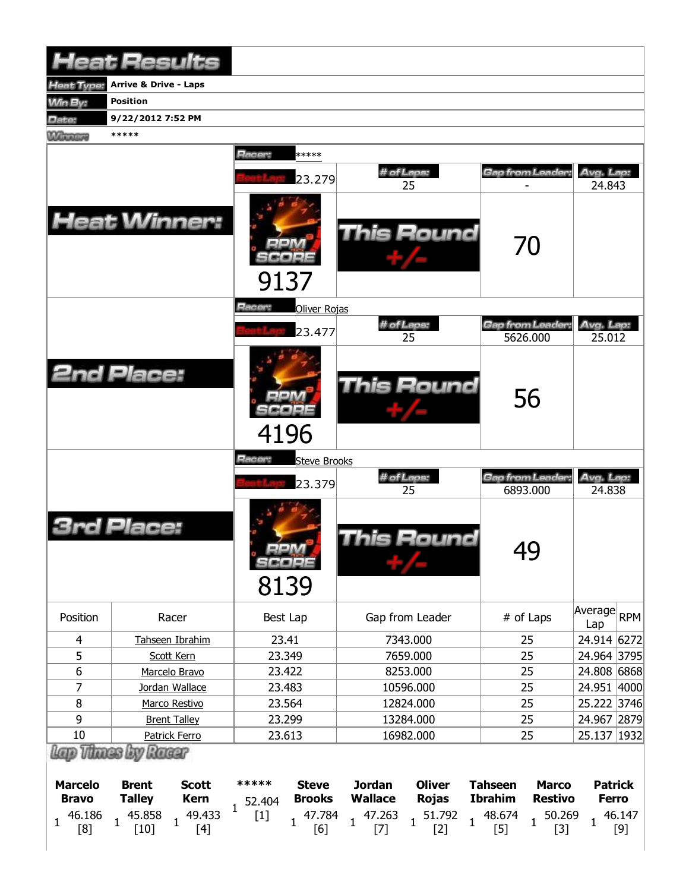|                                               | <b>Heat Results</b>                                                                                                         |                                                                          |                                                                                                                |                                                                                             |                                                                                                                                                                                                                                                                                                                                                                                                                                                                                                                                                                                                                                                                                                                                                                                                                                                                                                                                       |
|-----------------------------------------------|-----------------------------------------------------------------------------------------------------------------------------|--------------------------------------------------------------------------|----------------------------------------------------------------------------------------------------------------|---------------------------------------------------------------------------------------------|---------------------------------------------------------------------------------------------------------------------------------------------------------------------------------------------------------------------------------------------------------------------------------------------------------------------------------------------------------------------------------------------------------------------------------------------------------------------------------------------------------------------------------------------------------------------------------------------------------------------------------------------------------------------------------------------------------------------------------------------------------------------------------------------------------------------------------------------------------------------------------------------------------------------------------------|
| <b>Heat Type:</b>                             | <b>Arrive &amp; Drive - Laps</b>                                                                                            |                                                                          |                                                                                                                |                                                                                             |                                                                                                                                                                                                                                                                                                                                                                                                                                                                                                                                                                                                                                                                                                                                                                                                                                                                                                                                       |
| <b>Min By:</b>                                | <b>Position</b>                                                                                                             |                                                                          |                                                                                                                |                                                                                             |                                                                                                                                                                                                                                                                                                                                                                                                                                                                                                                                                                                                                                                                                                                                                                                                                                                                                                                                       |
| Date:                                         | 9/22/2012 7:52 PM                                                                                                           |                                                                          |                                                                                                                |                                                                                             |                                                                                                                                                                                                                                                                                                                                                                                                                                                                                                                                                                                                                                                                                                                                                                                                                                                                                                                                       |
| <b>Winning</b>                                | *****                                                                                                                       |                                                                          |                                                                                                                |                                                                                             |                                                                                                                                                                                                                                                                                                                                                                                                                                                                                                                                                                                                                                                                                                                                                                                                                                                                                                                                       |
|                                               |                                                                                                                             | Racer:<br>*****                                                          |                                                                                                                |                                                                                             |                                                                                                                                                                                                                                                                                                                                                                                                                                                                                                                                                                                                                                                                                                                                                                                                                                                                                                                                       |
|                                               |                                                                                                                             |                                                                          | # of Laps:                                                                                                     | Gap from Leader:                                                                            | Avg. Lap:                                                                                                                                                                                                                                                                                                                                                                                                                                                                                                                                                                                                                                                                                                                                                                                                                                                                                                                             |
|                                               |                                                                                                                             | 23.279                                                                   | 25                                                                                                             |                                                                                             | 24.843                                                                                                                                                                                                                                                                                                                                                                                                                                                                                                                                                                                                                                                                                                                                                                                                                                                                                                                                |
|                                               | <b>Heat Winner:</b>                                                                                                         | 9137                                                                     | <b>This Round</b>                                                                                              | 70                                                                                          |                                                                                                                                                                                                                                                                                                                                                                                                                                                                                                                                                                                                                                                                                                                                                                                                                                                                                                                                       |
|                                               |                                                                                                                             | Racer:<br>Oliver Rojas                                                   | # of Laps:                                                                                                     | Gap from Leader:                                                                            | Avg. Lap:                                                                                                                                                                                                                                                                                                                                                                                                                                                                                                                                                                                                                                                                                                                                                                                                                                                                                                                             |
|                                               |                                                                                                                             | 23.477                                                                   | 25                                                                                                             | 5626.000                                                                                    | 25.012                                                                                                                                                                                                                                                                                                                                                                                                                                                                                                                                                                                                                                                                                                                                                                                                                                                                                                                                |
|                                               | <b>2nd Place:</b>                                                                                                           | 4196                                                                     | <b>This Round</b>                                                                                              | 56                                                                                          |                                                                                                                                                                                                                                                                                                                                                                                                                                                                                                                                                                                                                                                                                                                                                                                                                                                                                                                                       |
|                                               |                                                                                                                             | Racer:<br><b>Steve Brooks</b>                                            |                                                                                                                |                                                                                             |                                                                                                                                                                                                                                                                                                                                                                                                                                                                                                                                                                                                                                                                                                                                                                                                                                                                                                                                       |
|                                               |                                                                                                                             | 23.379                                                                   | # of Laps:                                                                                                     | Gap from Leader:                                                                            | Avg. Lap:                                                                                                                                                                                                                                                                                                                                                                                                                                                                                                                                                                                                                                                                                                                                                                                                                                                                                                                             |
|                                               | Place:                                                                                                                      | $=$ $-1$<br>SCORE<br>8139                                                | 25<br><b>This Round</b>                                                                                        | 6893.000<br>49                                                                              | 24.838                                                                                                                                                                                                                                                                                                                                                                                                                                                                                                                                                                                                                                                                                                                                                                                                                                                                                                                                |
| Position                                      | Racer                                                                                                                       | Best Lap                                                                 | Gap from Leader                                                                                                | # of Laps                                                                                   | Average<br>RPM<br>Lap                                                                                                                                                                                                                                                                                                                                                                                                                                                                                                                                                                                                                                                                                                                                                                                                                                                                                                                 |
| $\overline{4}$                                | Tahseen Ibrahim                                                                                                             | 23.41                                                                    | 7343.000                                                                                                       | 25                                                                                          | 24.914 6272                                                                                                                                                                                                                                                                                                                                                                                                                                                                                                                                                                                                                                                                                                                                                                                                                                                                                                                           |
| 5                                             | Scott Kern                                                                                                                  | 23.349                                                                   | 7659.000                                                                                                       | 25                                                                                          | 24.964 3795                                                                                                                                                                                                                                                                                                                                                                                                                                                                                                                                                                                                                                                                                                                                                                                                                                                                                                                           |
| $\boldsymbol{6}$                              | Marcelo Bravo                                                                                                               | 23.422                                                                   | 8253.000                                                                                                       | 25                                                                                          | 24.808 6868                                                                                                                                                                                                                                                                                                                                                                                                                                                                                                                                                                                                                                                                                                                                                                                                                                                                                                                           |
| $\overline{7}$                                | Jordan Wallace                                                                                                              | 23.483                                                                   | 10596.000                                                                                                      | 25                                                                                          | 24.951 4000                                                                                                                                                                                                                                                                                                                                                                                                                                                                                                                                                                                                                                                                                                                                                                                                                                                                                                                           |
| 8                                             | Marco Restivo                                                                                                               | 23.564                                                                   | 12824.000                                                                                                      | 25                                                                                          | 25.222 3746                                                                                                                                                                                                                                                                                                                                                                                                                                                                                                                                                                                                                                                                                                                                                                                                                                                                                                                           |
| 9                                             | <b>Brent Talley</b>                                                                                                         | 23.299                                                                   | 13284.000                                                                                                      | 25                                                                                          | 24.967 2879                                                                                                                                                                                                                                                                                                                                                                                                                                                                                                                                                                                                                                                                                                                                                                                                                                                                                                                           |
| 10                                            | Patrick Ferro                                                                                                               | 23.613                                                                   | 16982.000                                                                                                      | 25                                                                                          | 25.137   1932                                                                                                                                                                                                                                                                                                                                                                                                                                                                                                                                                                                                                                                                                                                                                                                                                                                                                                                         |
| <b>Marcelo</b><br><b>Bravo</b><br>46.186<br>1 | Lap Thass by Racer<br><b>Brent</b><br><b>Scott</b><br><b>Talley</b><br><b>Kern</b><br>45.858<br>49.433<br>$\mathbf{1}$<br>1 | *****<br><b>Steve</b><br><b>Brooks</b><br>52.404<br>1<br>47.784<br>$[1]$ | <b>Jordan</b><br><b>Oliver</b><br><b>Wallace</b><br><b>Rojas</b><br>47.263<br>51.792<br>$\mathbf{1}$<br>1<br>1 | <b>Tahseen</b><br><b>Marco</b><br><b>Ibrahim</b><br><b>Restivo</b><br>48.674<br>50.269<br>1 | <b>Patrick</b><br><b>Ferro</b><br>46.147<br>$\mathbf{1}$                                                                                                                                                                                                                                                                                                                                                                                                                                                                                                                                                                                                                                                                                                                                                                                                                                                                              |
| [8]                                           | $[4]$<br>$[10]$                                                                                                             | [6]                                                                      | $[2]$<br>$[7]$                                                                                                 | $[5]$<br>$[3]$                                                                              | $[9] % \begin{center} \includegraphics[width=\linewidth]{imagesSupplemental/Imetad2D.pdf} \end{center} % \vspace{-1em} \caption{The image shows the number of parameters of the parameter $\mathcal{M}$ with the number of parameters in the parameter $\mathcal{M}$ with the number of parameters in the parameter $\mathcal{M}$ with the number of parameters in the parameter $\mathcal{M}$ with the number of parameters in the parameter $\mathcal{M}$ with the number of parameters in the parameter $\mathcal{M}$ with the number of parameters in the parameter $\mathcal{M}$ with the number of parameters in the parameter $\mathcal{M}$ with the number of parameters in the parameter $\mathcal{M}$ with the number of parameters in the parameter $\mathcal{M}$ with the number of parameters in the parameter $\mathcal{M}$ with the number of parameters in the parameter $\mathcal{M}$ with the number of parameters$ |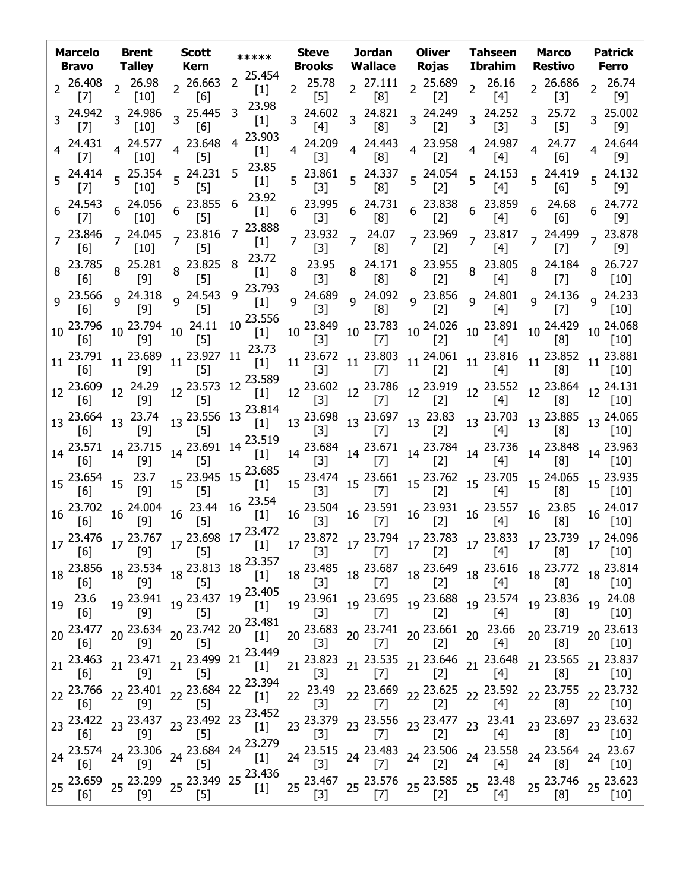|    |                   | Marcelo Brent Scott<br><b>Bravo</b> Talley Kern                 |                                                                                                                                                                                                                                                                                                                                                                                | *****                                                    |       |                                                                          |       | Steve Jordan Oliver Tahseen Marco<br>Brooks Wallace Rojas Ibrahim Restivo Ferro                                                                                                                                                                                                                                                                                                                                                                                                                                         |                             | <b>Patrick</b>                    |
|----|-------------------|-----------------------------------------------------------------|--------------------------------------------------------------------------------------------------------------------------------------------------------------------------------------------------------------------------------------------------------------------------------------------------------------------------------------------------------------------------------|----------------------------------------------------------|-------|--------------------------------------------------------------------------|-------|-------------------------------------------------------------------------------------------------------------------------------------------------------------------------------------------------------------------------------------------------------------------------------------------------------------------------------------------------------------------------------------------------------------------------------------------------------------------------------------------------------------------------|-----------------------------|-----------------------------------|
|    | [7]               | [10]                                                            | $2\begin{array}{cc} 26.408 \\ 2\end{array}$ $2\begin{array}{cc} 26.98 \\ 1.61 \end{array}$ $2\begin{array}{cc} 26.663 \\ 2\end{array}$<br>[6]                                                                                                                                                                                                                                  | $2^{25.454}$<br>$[1]$                                    |       |                                                                          |       | 2  25.78  2  27.111  2  25.689  2  26.16<br>[5]  2  [8]  2  [2]  2  [4]                                                                                                                                                                                                                                                                                                                                                                                                                                                 | [3]                         | $2^{26.686}$ $2^{26.74}$<br>[9]   |
|    | $[7]$             | $3\frac{24.942}{2}$ $3\frac{24.986}{2}$<br>$[10]$               | 3 25.445<br>[6]                                                                                                                                                                                                                                                                                                                                                                | 23.98<br>3<br>$[1]$                                      | [4]   | $3\begin{array}{cc} 24.602 & 3 \end{array}$ 24.821<br>[8]                | [2]   | $3^{24.249}$ $3^{24.252}$<br>[3]                                                                                                                                                                                                                                                                                                                                                                                                                                                                                        | $3^{25.72}$<br>$[5]$        | $3^{25.002}$<br>$\lceil 9 \rceil$ |
|    |                   | $4\begin{array}{cc} 24.431 \\ -2\end{array}$ 4 24.577<br>$[10]$ | 4 23.648<br>$[5]$                                                                                                                                                                                                                                                                                                                                                              | 23.903<br>$\overline{4}$<br>$[1]$                        | $[3]$ | [8]                                                                      | $[2]$ | $4\begin{array}{cccc} 24.209 & 4 & 24.443 & 4 & 23.958 & 4 & 24.987 \ 4 & 53 & 4 & 53 & 4 & 53 \ \end{array}$<br>[4]                                                                                                                                                                                                                                                                                                                                                                                                    | 4 24.77<br>[6]              | 4 24.644<br>[9]                   |
|    |                   | $\left[10\right]$                                               | $5\begin{array}{cc} 24.414 & 5 \end{array}$ 25.354 $5\begin{array}{cc} 24.231 \\ 52.332 \end{array}$<br>$\sim$ [5]                                                                                                                                                                                                                                                             | 23.85<br>5<br>$[1]$                                      | [3]   | $5\begin{array}{l} 23.861 \\ 5 \end{array}$ 5 24.337<br>$\left[8\right]$ |       | 5 <sup>24.054</sup> 5 <sup>24.153</sup> 5 <sup>24.419</sup><br>[2] 5 <sup>24.153</sup> 5 <sup>24.419</sup>                                                                                                                                                                                                                                                                                                                                                                                                              |                             | $5^{24.132}$                      |
|    |                   | $[10]$                                                          | $6\begin{array}{cccc} 24.543 & 6 & 24.056 & 6 & 23.855 & 6 \\ 171 & 6 & 101 & 6 & 151 \\ 181 & 6 & 191 & 6 & 151 \end{array}$<br>$[5]$                                                                                                                                                                                                                                         | 23.92<br>$[1]$                                           |       |                                                                          |       | $6\quad \begin{array}{cccccc} 23.995 & 6 & 24.731 & 6 & 23.838 & 6 & 23.859 & 6 & 24.68 \\ \begin{array}{cccccc} [3] & & & [8] & & & [2] & & & [4] & & & [6] \end{array} \end{array}$                                                                                                                                                                                                                                                                                                                                   |                             | $6^{24.772}$                      |
|    | [6]               | [10]                                                            | $7\frac{23.846}{56}$ $7\frac{24.045}{563}$ $7\frac{23.816}{55}$<br>$[5]$                                                                                                                                                                                                                                                                                                       | 23.888<br>$\overline{7}$<br>$\left[1\right]$             |       | 7 <sup>23.932</sup> 7 <sup>24.07</sup><br>[3] 7 [8]                      |       |                                                                                                                                                                                                                                                                                                                                                                                                                                                                                                                         |                             |                                   |
|    | $\lceil 6 \rceil$ | [9]                                                             | 8 23.785 8 25.281 8 23.825 8 23.72<br>$[5]$                                                                                                                                                                                                                                                                                                                                    | $\left[1\right]$                                         |       |                                                                          |       | 8  23.95  8  24.171  8  23.955  8  23.805  8  24.184  8  26.727<br>[3]  8  [8]  8  [2]  8  [4]  8  [7]  8  [10]                                                                                                                                                                                                                                                                                                                                                                                                         |                             |                                   |
|    |                   |                                                                 | 9  23.566  9  24.318  9  24.543<br>[6]    [9]    [5]                                                                                                                                                                                                                                                                                                                           | 9 23.793<br>$[1]$                                        |       |                                                                          |       | 9  24.689  9  24.092  9  23.856  9  24.801  9  24.136  9  24.233<br>[3]  9  [8]  9  [2]  9  [4]  9  [7]  9  [10]                                                                                                                                                                                                                                                                                                                                                                                                        |                             |                                   |
|    |                   |                                                                 | 10 $^{23.796}$ 10 $^{23.794}$ 10 $^{24.11}$ 10 $^{23.556}$ [1]                                                                                                                                                                                                                                                                                                                 |                                                          |       |                                                                          |       | $10\begin{array}{l} 23.849\\ \begin{bmatrix} 3 \end{bmatrix} \end{array} \begin{array}{l} 10\end{array} \begin{array}{l} 23.783\\ \begin{bmatrix} 7 \end{array} \end{array} \begin{array}{l} 10\end{array} \begin{array}{l} 24.026\\ \begin{bmatrix} 2 \end{array} \end{array} \begin{array}{l} 10\end{array} \begin{array}{l} 23.891\\ \begin{bmatrix} 4 \end{bmatrix} \end{array} \begin{array}{l} 10\end{array} \begin{array}{l} 24.068\\ \begin{bmatrix} 8 \$                                                       | [8]                         |                                   |
|    | [6]               | $11^{23.791}$ $11^{23.689}$                                     | [5]                                                                                                                                                                                                                                                                                                                                                                            | $11\frac{23.927}{51}$ $11\frac{23.73}{11}$               |       |                                                                          |       | $11\begin{array}{l} 23.672 \\ \begin{bmatrix} 3 \end{bmatrix} \end{array} \begin{array}{l} 11\begin{array}{l} 23.803 \\ \begin{bmatrix} 7 \end{array} \end{array} \begin{array}{l} 11\begin{array}{l} 24.061 \\ \begin{bmatrix} 2 \end{array} \end{array} \begin{array}{l} 11\begin{array}{l} 23.816 \\ \begin{bmatrix} 4 \end{array} \end{array} \begin{array}{l} 11\begin{array}{l} 23.852 \\ \begin{bmatrix} 8 \end{array} \end{array} \begin{array}{l} 11\begin$                                                    |                             |                                   |
|    | [6]               | $12\frac{23.609}{551}$ $12\frac{24.29}{591}$<br>[9]             |                                                                                                                                                                                                                                                                                                                                                                                |                                                          |       |                                                                          |       | $12\frac{23.573}{[5]}$ $12\frac{23.589}{[1]}$ $12\frac{23.602}{[3]}$ $12\frac{23.786}{[7]}$ $12\frac{23.919}{[2]}$ $12\frac{23.552}{[4]}$ $12\frac{23.864}{[8]}$ $12\frac{24.131}{[10]}$                                                                                                                                                                                                                                                                                                                                |                             |                                   |
|    |                   |                                                                 |                                                                                                                                                                                                                                                                                                                                                                                |                                                          |       |                                                                          |       | $13 \begin{array}{l} 23.556 & 13 \begin{array}{l} 23.814 \\ 1 \end{array} \\ \begin{array}{l} \begin{array}{l} 23.698 \\ 1 \end{array} \\ \begin{array}{l} \end{array} \\ \begin{array}{l} \end{array} \\ \begin{array}{l} \end{array} \\ \begin{array}{l} \end{array} \\ \begin{array}{l} \end{array} \\ \begin{array}{l} \end{array} \\ \begin{array}{l} \end{array} \\ \begin{array}{l} \end{array} \\ \begin{array}{l} \end{array} \\ \begin{array}{l} \end{array} \\ \begin{array}{l} \end{array} \\ \begin{array$ |                             |                                   |
|    | [6]               | $14\begin{array}{cc} 23.571 & 14\end{array}$ 23.715<br>[9]      |                                                                                                                                                                                                                                                                                                                                                                                |                                                          |       |                                                                          |       | $14\begin{array}{l} 1^{31} \\ 23.691 \end{array}$ 14 $23.519$ $1^{13}$ $1^{23.684}$ 14 $23.684$ 14 $23.784$ 14 $23.736$ 14 $23.848$ 14 $23.963$ 14 $[10]$ $1^{23}$ $[2]$ 14 $[2]$ 14 $[3]$ 14 $[10]$                                                                                                                                                                                                                                                                                                                    |                             |                                   |
|    |                   | 15  23.654  15  23.7<br>[6]  15  [9]                            | [5]                                                                                                                                                                                                                                                                                                                                                                            | $15\frac{23.945}{5}$ $15\frac{23.685}{51}$<br>$\sim$ [1] |       |                                                                          |       | $15\begin{array}{l} 23.474 \\ [3] \end{array} \quad 15\begin{array}{l} 23.661 \\ [7] \end{array} \quad 15\begin{array}{l} 23.762 \\ [2] \end{array} \quad 15\begin{array}{l} 23.705 \\ [4] \end{array} \quad 15\begin{array}{l} 24.065 \\ [8] \end{array} \quad 15\begin{array}{l} 23.935 \\ [10] \end{array}$                                                                                                                                                                                                          |                             |                                   |
|    |                   |                                                                 | $16\begin{array}{l} 23.702 \\ [6] \end{array}$ $16\begin{array}{l} 24.004 \\ [9] \end{array}$ $16\begin{array}{l} 23.44 \\ [5] \end{array}$ $16\begin{array}{l} 23.54 \\ [1] \end{array}$                                                                                                                                                                                      |                                                          |       |                                                                          |       | $\begin{bmatrix} 11 & 16 & 23.504 & 16 & 23.591 & 16 & 23.931 & 16 & 23.557 \ 11 & 16 & 13 & 16 & 17 \end{bmatrix}$ 16 $\begin{bmatrix} 23.931 & 16 & 23.557 \ 21 & 16 & 14 \end{bmatrix}$                                                                                                                                                                                                                                                                                                                              | $16\frac{23.85}{10}$<br>[8] | 16 24.017                         |
|    |                   |                                                                 | $17\begin{array}{c} 23.476 \\ 17 \end{array}$ $17\begin{array}{c} 23.767 \\ 17 \end{array}$ $17\begin{array}{c} 23.698 \\ 17 \end{array}$ $17\begin{array}{c} 23.472 \\ 11 \end{array}$ $17\begin{array}{c} 23.872 \\ 13 \end{array}$ $17\begin{array}{c} 23.794 \\ 17 \end{array}$ $17\begin{array}{c} 23.783 \\ 17 \end{array}$ $17\begin{array}{c} 23.833 \\ 17 \end{array$ |                                                          |       |                                                                          |       |                                                                                                                                                                                                                                                                                                                                                                                                                                                                                                                         |                             |                                   |
|    | [6]               | [9]                                                             | 18 23.856 18 23.534 18 23.813 18 23.357<br>$[5]$                                                                                                                                                                                                                                                                                                                               |                                                          |       |                                                                          |       | $18\begin{array}{l} 23.485 \\ \begin{bmatrix} 3 \end{bmatrix} \end{array} \begin{array}{l} 18\begin{array}{l} 23.687 \\ \begin{bmatrix} 7 \end{array} \end{array} \begin{array}{l} 18\begin{array}{l} 23.649 \\ \begin{bmatrix} 2 \end{array} \end{array} \begin{array}{l} 18\begin{array}{l} 23.616 \\ \begin{bmatrix} 4 \end{array} \end{array} \begin{array}{l} 18\begin{array}{l} 23.772 \\ \begin{bmatrix} 8 \end{array} \end{array} \begin{array}{l} 18\begin$                                                    |                             |                                   |
| 19 | 23.6<br>[6]       | 19 <sup>23.941</sup><br>[9]                                     | $[5]$                                                                                                                                                                                                                                                                                                                                                                          | 19 23.437 19 23.405<br>$[1]$                             |       |                                                                          |       |                                                                                                                                                                                                                                                                                                                                                                                                                                                                                                                         | 19 23.836<br>[8]            | 19 24.08<br>$[10]$                |
|    | 20 23.477<br>[6]  | $[9]$                                                           | 20 23.634 20 23.742 20 23.481<br>$[5]$                                                                                                                                                                                                                                                                                                                                         |                                                          | $[3]$ |                                                                          |       |                                                                                                                                                                                                                                                                                                                                                                                                                                                                                                                         | 20 23.719<br>[8]            | 20 23.613<br>$[10]$               |
|    | [6]               | $[9]$                                                           | 21 23.463 21 23.471 21 23.499 21 23.449<br>$[5]$                                                                                                                                                                                                                                                                                                                               |                                                          |       |                                                                          |       | $21\begin{array}{l} 23.823\\ \begin{bmatrix} 3 \end{bmatrix} \end{array} \begin{array}{l} 21\begin{array}{l} 23.535\\ \begin{bmatrix} 7 \end{array} \end{array} \begin{array}{l} 21\begin{array}{l} 23.646\\ \begin{bmatrix} 2 \end{array} \end{array} \begin{array}{l} 21\begin{array}{l} 23.648\\ \begin{bmatrix} 4 \end{array} \end{array} \begin{array}{l} 21\begin{array}{l} 23.565\\ \begin{bmatrix} 21\begin{array}{l} 23.837\\ \begin{bmatrix}$                                                                 |                             |                                   |
|    | [6]               | $[9]$                                                           | $22\frac{23.766}{[6]}$ $22\frac{23.401}{[9]}$ $22\frac{23.684}{[5]}$ $22\frac{23.394}{[1]}$<br>$[5]$                                                                                                                                                                                                                                                                           |                                                          |       |                                                                          |       | 22 <sup>23.49</sup> 22 <sup>23.669</sup> 22 <sup>23.625</sup> 22 <sup>23.592</sup> 22 <sup>23.755</sup> 22 <sup>23.732</sup><br>[3] 22 <sup>2</sup> [7] 22 <sup>2</sup> [2] 22 <sup>2</sup> [4] 22 <sup>2</sup> [8] 22 <sup>2</sup> [10]                                                                                                                                                                                                                                                                                |                             |                                   |
|    |                   |                                                                 | 23 $^{23.422}$ 23 $^{23.437}$ 23 $^{23.492}$ 23 $^{23.452}$ [1]                                                                                                                                                                                                                                                                                                                |                                                          |       |                                                                          |       |                                                                                                                                                                                                                                                                                                                                                                                                                                                                                                                         | 23 23.697<br>[8]            | 23 23.632<br>[10]                 |
|    |                   |                                                                 | 24 <sup>23.574</sup> 24 <sup>23.306</sup> 24 <sup>23.684</sup> 24 <sup>23.279</sup><br>[1]                                                                                                                                                                                                                                                                                     |                                                          |       |                                                                          |       | 24 <sup>23.515</sup> 24 <sup>23.483</sup> 24 <sup>23.506</sup> 24 <sup>23.558</sup> 24 <sup>23.564</sup><br>[3] 24 <sup>23</sup> [7] 24 <sup>23.506</sup> 24 <sup>23.558</sup> 24 <sup>23.564</sup>                                                                                                                                                                                                                                                                                                                     |                             | $24 \frac{23.67}{7}$<br>$[10]$    |
|    | [6]               | $[9]$                                                           | 25 23.659 25 23.299 25 23.349 25 23.436<br>$[5]$                                                                                                                                                                                                                                                                                                                               |                                                          |       |                                                                          |       | 25 <sup>23.467</sup> 25 <sup>23.576</sup> 25 <sup>23.585</sup> 25 <sup>23.48</sup> 25 <sup>23.746</sup> 25 <sup>23.623</sup> [3]                                                                                                                                                                                                                                                                                                                                                                                        |                             | $[10]$                            |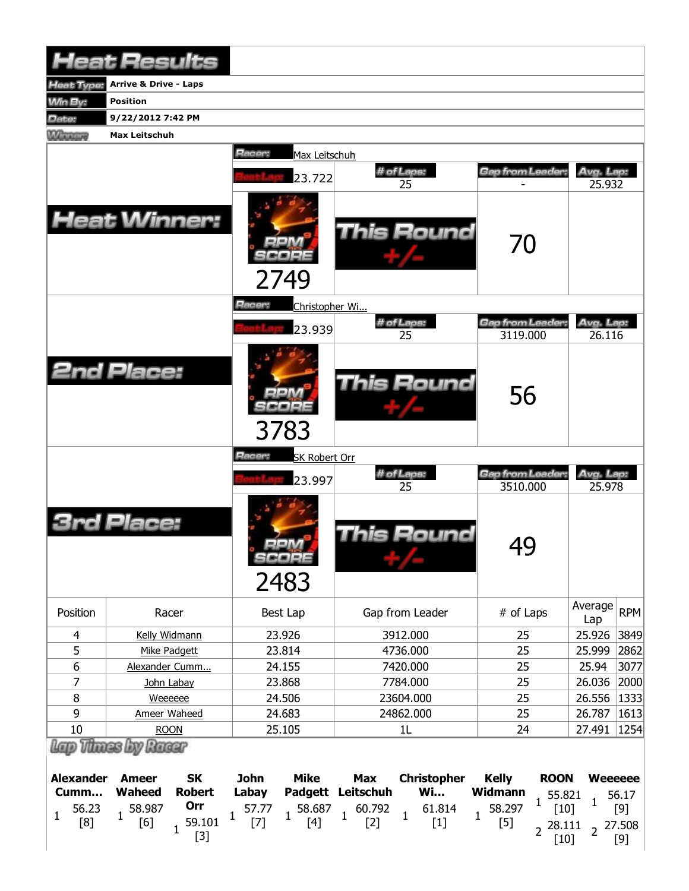|                                                      | <b>Heat Results</b>                                                                           |                                                                          |                                                                                |                                                                           |                                                  |
|------------------------------------------------------|-----------------------------------------------------------------------------------------------|--------------------------------------------------------------------------|--------------------------------------------------------------------------------|---------------------------------------------------------------------------|--------------------------------------------------|
| Heat Type:                                           | <b>Arrive &amp; Drive - Laps</b>                                                              |                                                                          |                                                                                |                                                                           |                                                  |
| <b>Win By:</b>                                       | <b>Position</b>                                                                               |                                                                          |                                                                                |                                                                           |                                                  |
| Date:                                                | 9/22/2012 7:42 PM                                                                             |                                                                          |                                                                                |                                                                           |                                                  |
| <b>Wilmours</b>                                      | <b>Max Leitschuh</b>                                                                          |                                                                          |                                                                                |                                                                           |                                                  |
|                                                      |                                                                                               | Racer:<br>Max Leitschuh                                                  |                                                                                |                                                                           |                                                  |
|                                                      |                                                                                               |                                                                          | # of Laps:                                                                     | Gap from Leader:                                                          | Avg. Lap:                                        |
|                                                      |                                                                                               | 23.722                                                                   | 25                                                                             |                                                                           | 25.932                                           |
|                                                      | <b>Heat Winner:</b>                                                                           | 2749                                                                     | This Round                                                                     | 70                                                                        |                                                  |
|                                                      |                                                                                               | Racer:<br>Christopher Wi                                                 |                                                                                |                                                                           |                                                  |
|                                                      |                                                                                               | 23.939                                                                   | # of Laps:                                                                     | Gap from Leader:                                                          | Avg. Lap:                                        |
|                                                      |                                                                                               |                                                                          | 25                                                                             | 3119.000                                                                  | 26.116                                           |
|                                                      | <b>2nd Place:</b>                                                                             | 3783                                                                     | This Round                                                                     | 56                                                                        |                                                  |
|                                                      |                                                                                               | Racer:<br><b>SK Robert Orr</b>                                           |                                                                                |                                                                           |                                                  |
|                                                      |                                                                                               | 23.997                                                                   | # of Laps:<br>25                                                               | Gap from Leader.<br>3510.000                                              | Avg. Lap:<br>25.978                              |
|                                                      | Place:                                                                                        | .<br>SCORE<br>2483                                                       | This Round                                                                     | 49                                                                        |                                                  |
| Position                                             | Racer                                                                                         | <b>Best Lap</b>                                                          | Gap from Leader                                                                | # of Laps                                                                 | Average<br><b>RPM</b>                            |
| 4                                                    | Kelly Widmann                                                                                 | 23.926                                                                   | 3912.000                                                                       | 25                                                                        | Lap<br>25.926<br>3849                            |
| 5                                                    | Mike Padgett                                                                                  | 23.814                                                                   | 4736.000                                                                       | 25                                                                        | 2862<br>25.999                                   |
| 6                                                    | Alexander Cumm                                                                                | 24.155                                                                   | 7420.000                                                                       | 25                                                                        | 25.94<br>3077                                    |
| 7                                                    | John Labay                                                                                    | 23.868                                                                   | 7784.000                                                                       | 25                                                                        | 26.036<br>2000                                   |
| $\bf 8$                                              | Weeeeee                                                                                       | 24.506                                                                   | 23604.000                                                                      | 25                                                                        | 26.556<br>1333                                   |
| 9                                                    | Ameer Waheed                                                                                  | 24.683                                                                   | 24862.000                                                                      | 25                                                                        | 26.787<br>1613                                   |
| 10                                                   | <b>ROON</b>                                                                                   | 25.105                                                                   | 1L                                                                             | 24                                                                        | 1254<br>27.491                                   |
|                                                      | Thinas Lov<br>Racer                                                                           |                                                                          |                                                                                |                                                                           |                                                  |
| <b>Alexander</b><br>Cumm<br>56.23<br>1<br><b>FO1</b> | <b>SK</b><br><b>Ameer</b><br><b>Waheed</b><br><b>Robert</b><br>Orr<br>58.987<br><b>EO 101</b> | <b>Mike</b><br><b>John</b><br>Labay<br><b>Padgett</b><br>57.77<br>58.687 | <b>Christopher</b><br><b>Max</b><br>Leitschuh<br><b>Wi</b><br>61.814<br>60.792 | <b>Kelly</b><br><b>ROON</b><br>Widmann<br>55.821<br>1<br>58.297<br>$[10]$ | <b>Weeeeee</b><br>56.17<br>$\mathbf{1}$<br>$[9]$ |

[8]

[6]

 $1\frac{59.101}{521}$ [3]

[7]

[4]

[2]

[1]

[5]

 $2^{28.111}$ [10]

 $2\frac{27.508}{501}$ [9]